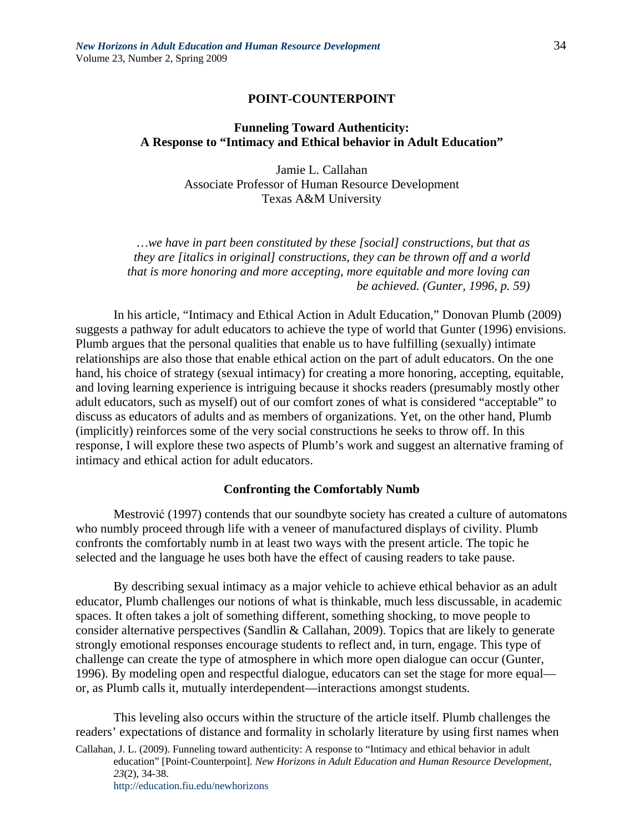### **POINT-COUNTERPOINT**

# **Funneling Toward Authenticity: A Response to "Intimacy and Ethical behavior in Adult Education"**

Jamie L. Callahan Associate Professor of Human Resource Development Texas A&M University

*…we have in part been constituted by these [social] constructions, but that as they are [italics in original] constructions, they can be thrown off and a world that is more honoring and more accepting, more equitable and more loving can be achieved. (Gunter, 1996, p. 59)* 

In his article, "Intimacy and Ethical Action in Adult Education," Donovan Plumb (2009) suggests a pathway for adult educators to achieve the type of world that Gunter (1996) envisions. Plumb argues that the personal qualities that enable us to have fulfilling (sexually) intimate relationships are also those that enable ethical action on the part of adult educators. On the one hand, his choice of strategy (sexual intimacy) for creating a more honoring, accepting, equitable, and loving learning experience is intriguing because it shocks readers (presumably mostly other adult educators, such as myself) out of our comfort zones of what is considered "acceptable" to discuss as educators of adults and as members of organizations. Yet, on the other hand, Plumb (implicitly) reinforces some of the very social constructions he seeks to throw off. In this response, I will explore these two aspects of Plumb's work and suggest an alternative framing of intimacy and ethical action for adult educators.

### **Confronting the Comfortably Numb**

Mestrović (1997) contends that our soundbyte society has created a culture of automatons who numbly proceed through life with a veneer of manufactured displays of civility. Plumb confronts the comfortably numb in at least two ways with the present article. The topic he selected and the language he uses both have the effect of causing readers to take pause.

By describing sexual intimacy as a major vehicle to achieve ethical behavior as an adult educator, Plumb challenges our notions of what is thinkable, much less discussable, in academic spaces. It often takes a jolt of something different, something shocking, to move people to consider alternative perspectives (Sandlin & Callahan, 2009). Topics that are likely to generate strongly emotional responses encourage students to reflect and, in turn, engage. This type of challenge can create the type of atmosphere in which more open dialogue can occur (Gunter, 1996). By modeling open and respectful dialogue, educators can set the stage for more equal or, as Plumb calls it, mutually interdependent—interactions amongst students.

This leveling also occurs within the structure of the article itself. Plumb challenges the readers' expectations of distance and formality in scholarly literature by using first names when

Callahan, J. L. (2009). Funneling toward authenticity: A response to "Intimacy and ethical behavior in adult education" [Point-Counterpoint]. *New Horizons in Adult Education and Human Resource Development, 23*(2), 34-38.

http://education.fiu.edu/newhorizons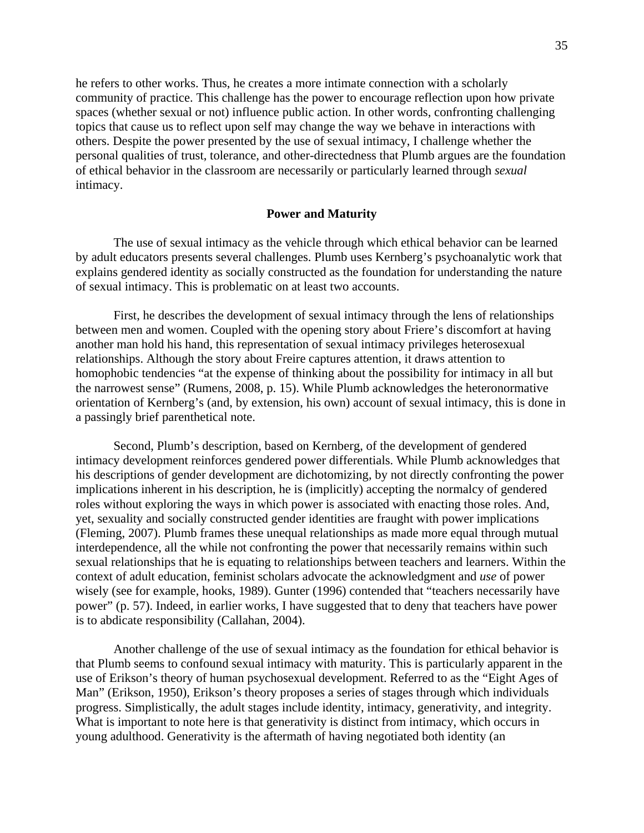he refers to other works. Thus, he creates a more intimate connection with a scholarly community of practice. This challenge has the power to encourage reflection upon how private spaces (whether sexual or not) influence public action. In other words, confronting challenging topics that cause us to reflect upon self may change the way we behave in interactions with others. Despite the power presented by the use of sexual intimacy, I challenge whether the personal qualities of trust, tolerance, and other-directedness that Plumb argues are the foundation of ethical behavior in the classroom are necessarily or particularly learned through *sexual* intimacy.

### **Power and Maturity**

The use of sexual intimacy as the vehicle through which ethical behavior can be learned by adult educators presents several challenges. Plumb uses Kernberg's psychoanalytic work that explains gendered identity as socially constructed as the foundation for understanding the nature of sexual intimacy. This is problematic on at least two accounts.

First, he describes the development of sexual intimacy through the lens of relationships between men and women. Coupled with the opening story about Friere's discomfort at having another man hold his hand, this representation of sexual intimacy privileges heterosexual relationships. Although the story about Freire captures attention, it draws attention to homophobic tendencies "at the expense of thinking about the possibility for intimacy in all but the narrowest sense" (Rumens, 2008, p. 15). While Plumb acknowledges the heteronormative orientation of Kernberg's (and, by extension, his own) account of sexual intimacy, this is done in a passingly brief parenthetical note.

Second, Plumb's description, based on Kernberg, of the development of gendered intimacy development reinforces gendered power differentials. While Plumb acknowledges that his descriptions of gender development are dichotomizing, by not directly confronting the power implications inherent in his description, he is (implicitly) accepting the normalcy of gendered roles without exploring the ways in which power is associated with enacting those roles. And, yet, sexuality and socially constructed gender identities are fraught with power implications (Fleming, 2007). Plumb frames these unequal relationships as made more equal through mutual interdependence, all the while not confronting the power that necessarily remains within such sexual relationships that he is equating to relationships between teachers and learners. Within the context of adult education, feminist scholars advocate the acknowledgment and *use* of power wisely (see for example, hooks, 1989). Gunter (1996) contended that "teachers necessarily have power" (p. 57). Indeed, in earlier works, I have suggested that to deny that teachers have power is to abdicate responsibility (Callahan, 2004).

Another challenge of the use of sexual intimacy as the foundation for ethical behavior is that Plumb seems to confound sexual intimacy with maturity. This is particularly apparent in the use of Erikson's theory of human psychosexual development. Referred to as the "Eight Ages of Man" (Erikson, 1950), Erikson's theory proposes a series of stages through which individuals progress. Simplistically, the adult stages include identity, intimacy, generativity, and integrity. What is important to note here is that generativity is distinct from intimacy, which occurs in young adulthood. Generativity is the aftermath of having negotiated both identity (an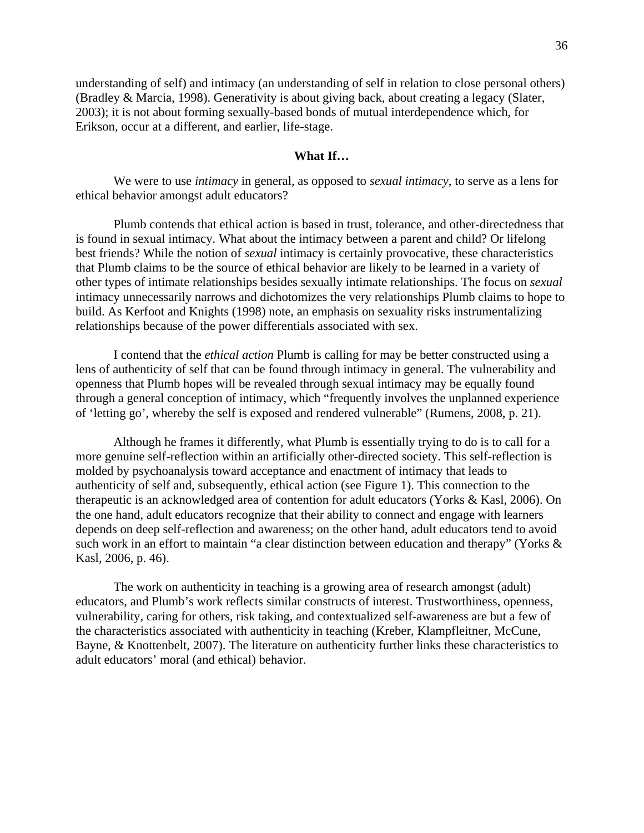understanding of self) and intimacy (an understanding of self in relation to close personal others) (Bradley & Marcia, 1998). Generativity is about giving back, about creating a legacy (Slater, 2003); it is not about forming sexually-based bonds of mutual interdependence which, for Erikson, occur at a different, and earlier, life-stage.

# **What If…**

We were to use *intimacy* in general, as opposed to *sexual intimacy*, to serve as a lens for ethical behavior amongst adult educators?

Plumb contends that ethical action is based in trust, tolerance, and other-directedness that is found in sexual intimacy. What about the intimacy between a parent and child? Or lifelong best friends? While the notion of *sexual* intimacy is certainly provocative, these characteristics that Plumb claims to be the source of ethical behavior are likely to be learned in a variety of other types of intimate relationships besides sexually intimate relationships. The focus on *sexual* intimacy unnecessarily narrows and dichotomizes the very relationships Plumb claims to hope to build. As Kerfoot and Knights (1998) note, an emphasis on sexuality risks instrumentalizing relationships because of the power differentials associated with sex.

I contend that the *ethical action* Plumb is calling for may be better constructed using a lens of authenticity of self that can be found through intimacy in general. The vulnerability and openness that Plumb hopes will be revealed through sexual intimacy may be equally found through a general conception of intimacy, which "frequently involves the unplanned experience of 'letting go', whereby the self is exposed and rendered vulnerable" (Rumens, 2008, p. 21).

Although he frames it differently, what Plumb is essentially trying to do is to call for a more genuine self-reflection within an artificially other-directed society. This self-reflection is molded by psychoanalysis toward acceptance and enactment of intimacy that leads to authenticity of self and, subsequently, ethical action (see Figure 1). This connection to the therapeutic is an acknowledged area of contention for adult educators (Yorks & Kasl, 2006). On the one hand, adult educators recognize that their ability to connect and engage with learners depends on deep self-reflection and awareness; on the other hand, adult educators tend to avoid such work in an effort to maintain "a clear distinction between education and therapy" (Yorks & Kasl, 2006, p. 46).

The work on authenticity in teaching is a growing area of research amongst (adult) educators, and Plumb's work reflects similar constructs of interest. Trustworthiness, openness, vulnerability, caring for others, risk taking, and contextualized self-awareness are but a few of the characteristics associated with authenticity in teaching (Kreber, Klampfleitner, McCune, Bayne, & Knottenbelt, 2007). The literature on authenticity further links these characteristics to adult educators' moral (and ethical) behavior.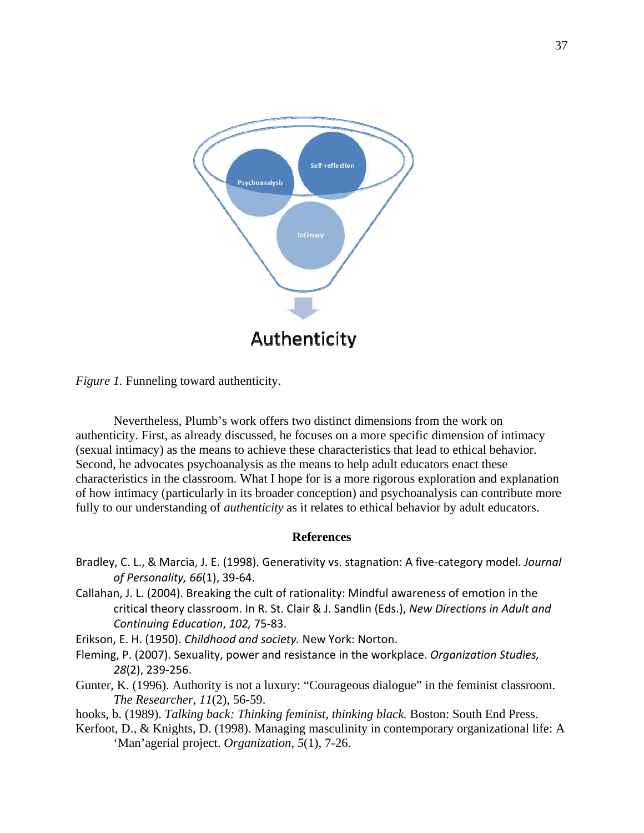

*Figure 1.* Funneling toward authenticity.

Nevertheless, Plumb's work offers two distinct dimensions from the work on authenticity. First, as already discussed, he focuses on a more specific dimension of intimacy (sexual intimacy) as the means to achieve these characteristics that lead to ethical behavior. Second, he advocates psychoanalysis as the means to help adult educators enact these characteristics in the classroom. What I hope for is a more rigorous exploration and explanation of how intimacy (particularly in its broader conception) and psychoanalysis can contribute more fully to our understanding of *authenticity* as it relates to ethical behavior by adult educators.

## **References**

- Bradley, C. L., & Marcia, J. E. (1998). Generativity vs. stagnation: A five‐category model. *Journal of Personality, 66*(1), 39‐64.
- Callahan, J. L. (2004). Breaking the cult of rationality: Mindful awareness of emotion in the critical theory classroom. In R. St. Clair & J. Sandlin (Eds.), *New Directions in Adult and Continuing Education*, *102,* 75‐83.

Erikson, E. H. (1950). *Childhood and society.* New York: Norton.

- Fleming, P. (2007). Sexuality, power and resistance in the workplace. *Organization Studies, 28*(2), 239‐256.
- Gunter, K. (1996). Authority is not a luxury: "Courageous dialogue" in the feminist classroom. *The Researcher, 11*(2), 56-59.

hooks, b. (1989). *Talking back: Thinking feminist, thinking black.* Boston: South End Press.

Kerfoot, D., & Knights, D. (1998). Managing masculinity in contemporary organizational life: A 'Man'agerial project. *Organization, 5*(1), 7-26.